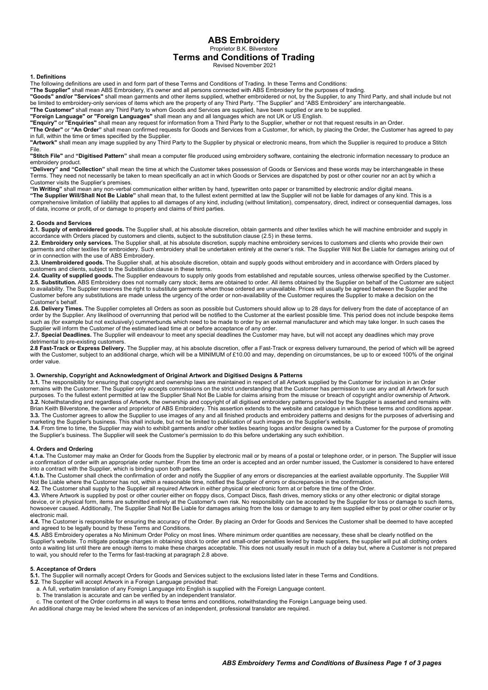ABS Embroidery Proprietor B.K. Bilverstone

# Terms and Conditions of Trading

Revised November 2021

## 1. Definitions

The following definitions are used in and form part of these Terms and Conditions of Trading. In these Terms and Conditions:

The Supplier" shall mean ABS Embroidery, it's owner and all persons connected with ABS Embroidery for the purposes of trading.<br>"Goods" and/or "Services" shall mean garments and other items supplied whether embroidered or n

Fand/or "Services" shall mean garments and other items supplied, whether embroidered or not, by the Supplier, to any Third Party, and shall include but not be limited to embroidery-only services of items which are the property of any Third Party. "The Supplier" and "ABS Embroidery" are interchangeable.

"The Customer" shall mean any Third Party to whom Goods and Services are supplied, have been supplied or are to be supplied.

"Foreign Language" or "Foreign Languages" shall mean any and all languages which are not UK or US English.

"Enquiry" or "Enquiries" shall mean any request for information from a Third Party to the Supplier, whether or not that request results in an Order.

"The Order" or "An Order" shall mean confirmed requests for Goods and Services from a Customer, for which, by placing the Order, the Customer has agreed to pay in full, within the time or times specified by the Supplier.

"Artwork" shall mean any image supplied by any Third Party to the Supplier by physical or electronic means, from which the Supplier is required to produce a Stitch File.

"Stitch File" and "Digitised Pattern" shall mean a computer file produced using embroidery software, containing the electronic information necessary to produce an embroidery product.

"Delivery" and "Collection" shall mean the time at which the Customer takes possession of Goods or Services and these words may be interchangeable in these Terms. They need not necessarily be taken to mean specifically an act in which Goods or Services are dispatched by post or other courier nor an act by which a Customer visits the Supplier's premises.

"In Writing" shall mean any non-verbal communication either written by hand, typewritten onto paper or transmitted by electronic and/or digital means. "The Supplier Will/Shall Not Be Liable" shall mean that, to the fullest extent permitted at law the Supplier will not be liable for damages of any kind. This is a comprehensive limitation of liability that applies to all damages of any kind, including (without limitation), compensatory, direct, indirect or consequential damages, loss of data, income or profit, of or damage to property and claims of third parties.

## 2. Goods and Services

2.1. Supply of embroidered goods. The Supplier shall, at his absolute discretion, obtain garments and other textiles which he will machine embroider and supply in accordance with Orders placed by customers and clients, subject to the substitution clause (2.5) in these terms.

2.2. Embroidery only services. The Supplier shall, at his absolute discretion, supply machine embroidery services to customers and clients who provide their own garments and other textiles for embroidery. Such embroidery shall be undertaken entirely at the owner's risk. The Supplier Will Not Be Liable for damages arising out of or in connection with the use of ABS Embroidery.

2.3. Unembroidered goods. The Supplier shall, at his absolute discretion, obtain and supply goods without embroidery and in accordance with Orders placed by customers and clients, subject to the Substitution clause in these terms.

2.4. Quality of supplied goods. The Supplier endeavours to supply only goods from established and reputable sources, unless otherwise specified by the Customer. 2.5. Substitution. ABS Embroidery does not normally carry stock; items are obtained to order. All items obtained by the Supplier on behalf of the Customer are subject to availability. The Supplier reserves the right to substitute garments when those ordered are unavailable. Prices will usually be agreed between the Supplier and the Customer before any substitutions are made unless the urgency of the order or non-availability of the Customer requires the Supplier to make a decision on the Customer's behalf.

2.6. Delivery Times. The Supplier completes all Orders as soon as possible but Customers should allow up to 28 days for delivery from the date of acceptance of an order by the Supplier. Any likelihood of overrunning that period will be notified to the Customer at the earliest possible time. This period does not include bespoke items such as (for example but not exclusively) cummerbunds which need to be made to order by an external manufacturer and which may take longer. In such cases the Supplier will inform the Customer of the estimated lead time at or before acceptance of any order.

2.7. Special Deadlines. The Supplier will endeavour to meet any special deadlines the Customer may have, but will not accept any deadlines which may prove detrimental to pre-existing customers.

2.8 Fast-Track or Express Delivery. The Supplier may, at his absolute discretion, offer a Fast-Track or express delivery turnaround, the period of which will be agreed with the Customer, subject to an additional charge, which will be a MINIMUM of £10.00 and may, depending on circumstances, be up to or exceed 100% of the original with the Customer, subject to an additional charge, which w order value.

## 3. Ownership, Copyright and Acknowledgment of Original Artwork and Digitised Designs & Patterns

3.1. The responsibility for ensuring that copyright and ownership laws are maintained in respect of all Artwork supplied by the Customer for inclusion in an Order remains with the Customer. The Supplier only accepts commissions on the strict understanding that the Customer has permission to use any and all Artwork for such purposes. To the fullest extent permitted at law the Supplier Shall Not Be Liable for claims arising from the misuse or breach of copyright and/or ownership of Artwork. 3.2. Notwithstanding and regardless of Artwork, the ownership and copyright of all digitised embroidery patterns provided by the Supplier is asserted and remains with Brian Keith Bilverstone, the owner and proprietor of ABS Embroidery. This assertion extends to the website and catalogue in which these terms and conditions appear. 3.3. The Customer agrees to allow the Supplier to use images of any and all finished products and embroidery patterns and designs for the purposes of advertising and marketing the Supplier's business. This shall include, but not be limited to publication of such images on the Supplier's website.

**3.4.** From time to time, the Supplier may wish to exhibit garments and/or other textiles bearing logos and/or designs owned by a Customer for the purpose of promoting the Supplier's business. The Supplier will seek the Customer's permission to do this before undertaking any such exhibition.

#### 4. Orders and Ordering

4.1.a. The Customer may make an Order for Goods from the Supplier by electronic mail or by means of a postal or telephone order, or in person. The Supplier will issue a confirmation of order with an appropriate order number. From the time an order is accepted and an order number issued, the Customer is considered to have entered into a contract with the Supplier, which is binding upon both parties.

4.1.b. The Customer shall check the confirmation of order and notify the Supplier of any errors or discrepancies at the earliest available opportunity. The Supplier Will Not Be Liable where the Customer has not, within a reasonable time, notified the Supplier of errors or discrepancies in the confirmation.

4.2. The Customer shall supply to the Supplier all required Artwork in either physical or electronic form at or before the time of the Order.

4.3. Where Artwork is supplied by post or other courier either on floppy discs, Compact Discs, flash drives, memory sticks or any other electronic or digital storage device, or in physical form, items are submitted entirely at the Customer's own risk. No responsibility can be accepted by the Supplier for loss or damage to such items, howsoever caused. Additionally, The Supplier Shall Not Be Liable for damages arising from the loss or damage to any item supplied either by post or other courier or by electronic mail.

4.4. The Customer is responsible for ensuring the accuracy of the Order. By placing an Order for Goods and Services the Customer shall be deemed to have accepted and agreed to be legally bound by these Terms and Conditions.

4.5. ABS Embroidery operates a No Minimum Order Policy on most lines. Where minimum order quantities are necessary, these shall be clearly notified on the Supplier's website. To mitigate postage charges in obtaining stock to order and small-order penalties levied by trade suppliers, the supplier will put all clothing orders onto a waiting list until there are enough items to make these charges acceptable. This does not usually result in much of a delay but, where a Customer is not prepared to wait, you should refer to the Terms for fast-tracking at paragraph 2.8 above.

## 5. Acceptance of Orders

5.1. The Supplier will normally accept Orders for Goods and Services subject to the exclusions listed later in these Terms and Conditions.

- 5.2. The Supplier will accept Artwork in a Foreign Language provided that: a. A full, verbatim translation of any Foreign Language into English is supplied with the Foreign Language content.
- b. The translation is accurate and can be verified by an independent translator.
- c. The content of the Order conforms in all ways to these terms and conditions, notwithstanding the Foreign Language being used.
- An additional charge may be levied where the services of an independent, professional translator are required.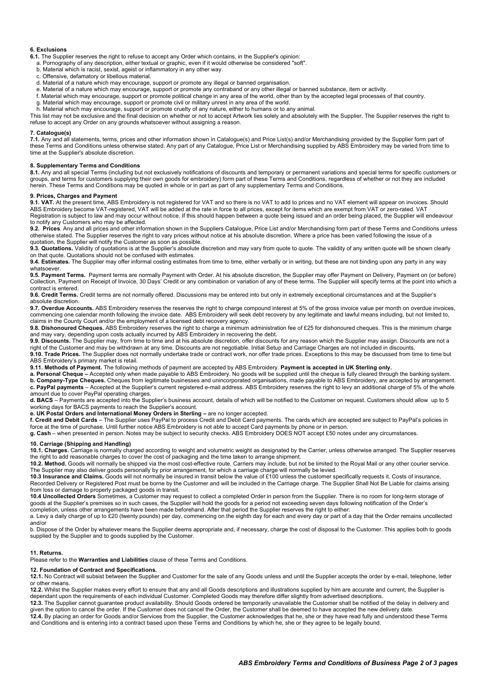# 6. Exclusions

- 6.1. The Supplier reserves the right to refuse to accept any Order which contains, in the Supplier's opinion:
- a. Pornography of any description, either textual or graphic, even if it would otherwise be considered "soft".
- b. Material which is racist, sexist, ageist or inflammatory in any other way.
- c. Offensive, defamatory or libellous material.
- d. Material of a nature which may encourage, support or promote any illegal or banned organisation.
- e. Material of a nature which may encourage, support or promote any contraband or any other illegal or banned substance, item or activity. f. Material which may encourage, support or promote political change in any area of the world, other than by the accepted legal processes of that country.
- g. Material which may encourage, support or promote civil or military unrest in any area of the world.
- h. Material which may encourage, support or promote cruelty of any nature, either to humans or to any animal.

This list may not be exclusive and the final decision on whether or not to accept Artwork lies solely and absolutely with the Supplier. The Supplier reserves the right to refuse to accept any Order on any grounds whatsoever without assigning a reason.

## 7. Catalogue(s)

7.1. Any and all statements, terms, prices and other information shown in Catalogue(s) and Price List(s) and/or Merchandising provided by the Supplier form part of these Terms and Conditions unless otherwise stated. Any part of any Catalogue, Price List or Merchandising supplied by ABS Embroidery may be varied from time to time at the Supplier's absolute discretion.

# 8. Supplementary Terms and Conditions

8.1. Any and all special Terms (including but not exclusively notifications of discounts and temporary or permanent variations and special terms for specific customers or groups, and terms for customers supplying their own goods for embroidery) form part of these Terms and Conditions, regardless of whether or not they are included herein. These Terms and Conditions may be quoted in whole or in part as part of any supplementary Terms and Conditions.

## 9. Prices, Charges and Payment

9.1. VAT. At the present time, ABS Embroidery is not registered for VAT and so there is no VAT to add to prices and no VAT element will appear on invoices. Should ABS Embroidery become VAT-registered, VAT will be added at the rate in force to all prices, except for items which are exempt from VAT or zero-rated. VAT Registration is subject to law and may occur without notice. If this should happen between a quote being issued and an order being placed, the Supplier will endeavour to notify any Customers who may be affected.

9.2. Prices. Any and all prices and other information shown in the Suppliers Catalogue, Price List and/or Merchandising form part of these Terms and Conditions unless otherwise stated. The Supplier reserves the right to vary prices without notice at his absolute discretion. Where a price has been varied following the issue of a quotation, the Supplier will notify the Customer as soon as possible.

9.3. Quotations. Validity of quotations is at the Supplier's absolute discretion and may vary from quote to quote. The validity of any written quote will be shown clearly on that quote. Quotations should not be confused with estimates.

9.4. Estimates. The Supplier may offer informal costing estimates from time to time, either verbally or in writing, but these are not binding upon any party in any way whatsoever.

9.5. Payment Terms. Payment terms are normally Payment with Order. At his absolute discretion, the Supplier may offer Payment on Delivery, Payment on (or before) Collection, Payment on Receipt of Invoice, 30 Days' Credit or any combination or variation of any of these terms. The Supplier will specify terms at the point into which a contract is entered.

9.6. Credit Terms. Credit terms are not normally offered. Discussions may be entered into but only in extremely exceptional circumstances and at the Supplier's absolute discretion.

9.7. Overdue Accounts. ABS Embroidery reserves the reserves the right to charge compound interest at 5% of the gross invoice value per month on overdue invoices, commencing one calendar month following the invoice date. ABS Embroidery will seek debt recovery by any legitimate and lawful means including, but not limited to, claims in the County Court and/or the employment of a licensed debt recovery agency.

9.8. Dishonoured Cheques. ABS Embroidery reserves the right to charge a minimum administration fee of £25 for dishonoured cheques. This is the minimum charge and may vary, depending upon costs actually incurred by ABS Embroidery in recovering the debt.

9.9. Discounts. The Supplier may, from time to time and at his absolute discretion, offer discounts for any reason which the Supplier may assign. Discounts are not a right of the Customer and may be withdrawn at any time. Discounts are not negotiable. Initial Setup and Carriage Charges are not included in discounts.

9.10. Trade Prices. The Supplier does not normally undertake trade or contract work, nor offer trade prices. Exceptions to this may be discussed from time to time but ABS Embroidery's primary market is retail.

9.11. Methods of Payment. The following methods of payment are accepted by ABS Embroidery. Payment is accepted in UK Sterling only.

a. Personal Cheque – Accepted only when made payable to ABS Embroidery. No goods will be supplied until the cheque is fully cleared through the banking system.

b. Company-Type Cheques. Cheques from legitimate businesses and unincorporated organisations, made payable to ABS Embroidery, are accepted by arrangement. c. PayPal payments – Accepted at the Supplier's current registered e-mail address. ABS Embroidery reserves the right to levy an additional charge of 5% of the whole amount due to cover PayPal operating charges.

d. BACS – Payments are accepted into the Supplier's business account, details of which will be notified to the Customer on request. Customers should allow up to 5 working days for BACS payments to reach the Supplier's account.

e. UK Postal Orders and International Money Orders in Sterling – are no longer accepted.

f. Credit and Debit Cards – The Supplier uses PayPal to process Credit and Debit Card payments. The cards which are accepted are subject to PayPal's policies in force at the time of purchase. Until further notice ABS Embroidery is not able to accept Card payments by phone or in person.

g. Cash – when presented in person. Notes may be subject to security checks. ABS Embroidery DOES NOT accept £50 notes under any circumstances.

## 10. Carriage (Shipping and Handling)

10.1. Charges. Carriage is normally charged according to weight and volumetric weight as designated by the Carrier, unless otherwise arranged. The Supplier reserves the right to add reasonable charges to cover the cost of packaging and the time taken to arrange shipment.

10.2. Method. Goods will normally be shipped via the most cost-effective route. Carriers may include, but not be limited to the Royal Mail or any other courier service. The Supplier may also deliver goods personally by prior arrangement, for which a carriage charge will normally be levied.

10.3 Insurance and Claims. Goods will not normally be insured in transit below the value of £100 unless the customer specifically requests it. Costs of insurance, Recorded Delivery or Registered Post must be borne by the Customer and will be included in the Carriage charge. The Supplier Shall Not Be Liable for claims arising from loss or damage to properly packaged goods in transit.

10.4 Uncollected Orders Sometimes, a Customer may request to collect a completed Order in person from the Supplier. There is no room for long-term storage of goods at the Supplier's premises so in such cases, the Supplier will hold the goods for a period not exceeding seven days following notification of the Order's completion, unless other arrangements have been made beforehand. After that period the Supplier reserves the right to either:

a. Levy a daily charge of up to £20 (twenty pounds) per day, commencing on the eighth day for each and every day or part of a day that the Order remains uncollected and/or

b. Dispose of the Order by whatever means the Supplier deems appropriate and, if necessary, charge the cost of disposal to the Customer. This applies both to goods supplied by the Supplier and to goods supplied by the Customer.

#### 11. Returns.

Please refer to the **Warranties and Liabilities** clause of these Terms and Conditions.

#### 12. Foundation of Contract and Specifications.

12.1. No Contract will subsist between the Supplier and Customer for the sale of any Goods unless and until the Supplier accepts the order by e-mail, telephone, letter or other means.

12.2. Whilst the Supplier makes every effort to ensure that any and all Goods descriptions and illustrations supplied by him are accurate and current, the Supplier is dependant upon the requirements of each individual Customer. Completed Goods may therefore differ slightly from advertised descriptions.

12.3. The Supplier cannot guarantee product availability. Should Goods ordered be temporarily unavailable the Customer shall be notified of the delay in delivery and given the option to cancel the order. If the Customer does not cancel the Order, the Customer shall be deemed to have accepted the new delivery date. 12.4. By placing an order for Goods and/or Services from the Supplier, the Customer acknowledges that he, she or they have read fully and understood these Terms

and Conditions and is entering into a contract based upon these Terms and Conditions by which he, she or they agree to be legally bound.